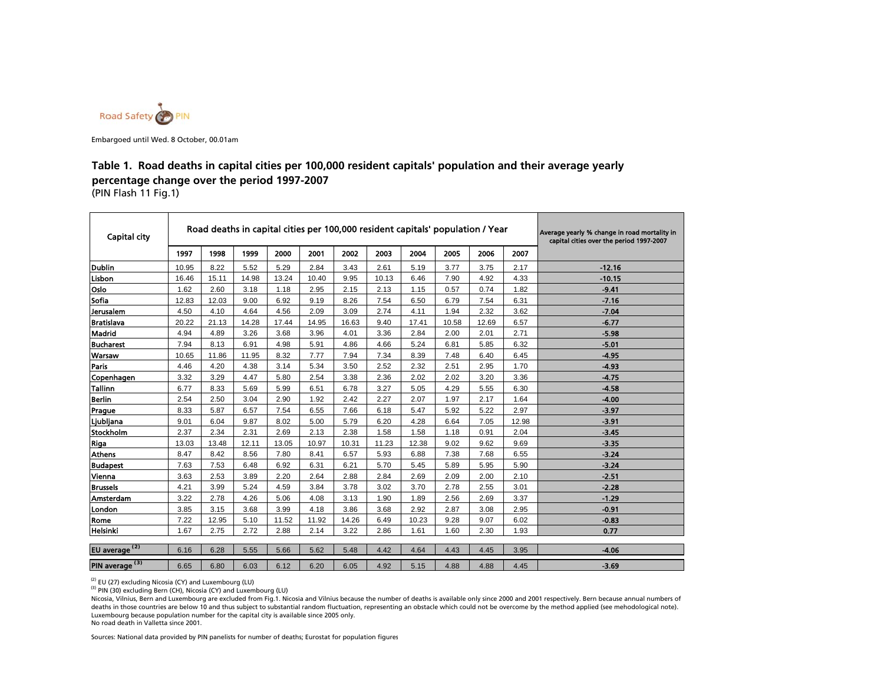

Embargoed until Wed. 8 October, 00.01am

#### (PIN Flash 11 Fig.1) **Table 1. Road deaths in capital cities per 100,000 resident capitals' population and their average yearly percentage change over the period 1997-2007**

| 1997<br>1999<br>2003<br>1998<br>2000<br>2001<br>2002<br>2004<br>2005<br>2006<br>2007<br>8.22<br>Dublin<br>5.52<br>$-12.16$<br>10.95<br>5.29<br>2.84<br>3.43<br>2.61<br>5.19<br>3.77<br>3.75<br>2.17<br>16.46<br>15.11<br>14.98<br>10.13<br>6.46<br>4.33<br>Lisbon<br>13.24<br>10.40<br>9.95<br>7.90<br>4.92<br>$-10.15$<br>Oslo<br>1.62<br>2.60<br>3.18<br>0.74<br>1.82<br>$-9.41$<br>1.18<br>2.95<br>2.15<br>2.13<br>1.15<br>0.57<br>Sofia<br>12.83<br>12.03<br>9.00<br>6.92<br>$-7.16$<br>9.19<br>8.26<br>7.54<br>6.50<br>6.79<br>7.54<br>6.31<br>Jerusalem<br>4.10<br>4.64<br>4.11<br>1.94<br>$-7.04$<br>4.50<br>4.56<br>2.09<br>3.09<br>2.74<br>2.32<br>3.62<br><b>Bratislava</b><br>20.22<br>21.13<br>14.28<br>17.44<br>14.95<br>17.41<br>10.58<br>12.69<br>$-6.77$<br>16.63<br>9.40<br>6.57<br>Madrid<br>2.84<br>$-5.98$<br>4.94<br>4.89<br>3.26<br>3.68<br>3.96<br>4.01<br>3.36<br>2.00<br>2.01<br>2.71<br><b>Bucharest</b><br>7.94<br>8.13<br>6.91<br>4.98<br>5.91<br>4.66<br>5.24<br>6.81<br>5.85<br>6.32<br>$-5.01$<br>4.86<br><b>Warsaw</b><br>10.65<br>11.86<br>11.95<br>8.32<br>7.77<br>7.34<br>8.39<br>7.48<br>6.40<br>6.45<br>$-4.95$<br>7.94<br>Paris<br>4.46<br>4.20<br>4.38<br>3.14<br>2.32<br>1.70<br>$-4.93$<br>5.34<br>3.50<br>2.52<br>2.51<br>2.95<br>3.29<br>2.02<br>$-4.75$<br>Copenhagen<br>3.32<br>4.47<br>5.80<br>2.54<br>3.38<br>2.36<br>2.02<br>3.20<br>3.36<br><b>Tallinn</b><br>6.77<br>8.33<br>5.69<br>5.99<br>6.51<br>3.27<br>5.05<br>4.29<br>5.55<br>$-4.58$<br>6.78<br>6.30<br><b>Berlin</b><br>2.54<br>2.50<br>3.04<br>2.90<br>1.92<br>2.42<br>2.27<br>2.07<br>1.97<br>2.17<br>1.64<br>$-4.00$<br>8.33<br>5.87<br>6.57<br>7.54<br>6.55<br>5.47<br>5.92<br>2.97<br>7.66<br>6.18<br>5.22<br>$-3.97$<br>Prague<br>9.01<br>6.04<br>9.87<br>8.02<br>6.20<br>4.28<br>6.64<br>Ljubljana<br>5.00<br>5.79<br>7.05<br>12.98<br>$-3.91$<br>Stockholm<br>2.31<br>2.37<br>2.34<br>2.69<br>2.13<br>2.38<br>1.58<br>1.58<br>1.18<br>0.91<br>2.04<br>$-3.45$<br>12.38<br>Riga<br>13.03<br>13.48<br>12.11<br>13.05<br>10.97<br>10.31<br>11.23<br>9.02<br>9.62<br>9.69<br>$-3.35$<br><b>Athens</b><br>8.47<br>8.42<br>8.56<br>7.80<br>8.41<br>6.57<br>5.93<br>6.88<br>7.38<br>7.68<br>6.55<br>$-3.24$<br>7.63<br>7.53<br>6.48<br>6.92<br>6.31<br>6.21<br>5.70<br>5.45<br>5.89<br>5.95<br>5.90<br>$-3.24$<br><b>Budapest</b><br>Vienna<br>3.63<br>2.53<br>3.89<br>2.20<br>2.64<br>2.88<br>2.84<br>2.69<br>2.09<br>$-2.51$<br>2.00<br>2.10<br>4.21<br>3.99<br>5.24<br>3.84<br>3.02<br>3.70<br>2.78<br><b>Brussels</b><br>4.59<br>3.78<br>2.55<br>3.01<br>$-2.28$<br>3.22<br>2.78<br>4.26<br>5.06<br>4.08<br>3.13<br>1.90<br>1.89<br>2.56<br>2.69<br>3.37<br>$-1.29$<br>Amsterdam<br>London<br>3.85<br>3.15<br>3.68<br>3.99<br>4.18<br>3.86<br>3.68<br>2.92<br>2.87<br>3.08<br>2.95<br>$-0.91$<br>7.22<br>12.95<br>5.10<br>10.23<br>9.28<br>$-0.83$<br>Rome<br>11.52<br>11.92<br>14.26<br>6.49<br>9.07<br>6.02<br>Helsinki<br>1.67<br>2.75<br>2.72<br>2.88<br>2.14<br>2.86<br>1.61<br>1.60<br>2.30<br>1.93<br>0.77<br>3.22<br>EU average <sup>(2)</sup><br>6.28<br>6.16<br>5.55<br>5.66<br>5.62<br>5.48<br>4.42<br>4.64<br>4.43<br>4.45<br>$-4.06$<br>3.95<br>6.65<br>6.80<br>6.03<br>6.12<br>6.20<br>4.92<br>4.88<br>4.88<br>6.05<br>5.15<br>4.45 | <b>Capital city</b>        |  |  |  | Road deaths in capital cities per 100,000 resident capitals' population / Year |  | Average yearly % change in road mortality in<br>capital cities over the period 1997-2007 |
|-------------------------------------------------------------------------------------------------------------------------------------------------------------------------------------------------------------------------------------------------------------------------------------------------------------------------------------------------------------------------------------------------------------------------------------------------------------------------------------------------------------------------------------------------------------------------------------------------------------------------------------------------------------------------------------------------------------------------------------------------------------------------------------------------------------------------------------------------------------------------------------------------------------------------------------------------------------------------------------------------------------------------------------------------------------------------------------------------------------------------------------------------------------------------------------------------------------------------------------------------------------------------------------------------------------------------------------------------------------------------------------------------------------------------------------------------------------------------------------------------------------------------------------------------------------------------------------------------------------------------------------------------------------------------------------------------------------------------------------------------------------------------------------------------------------------------------------------------------------------------------------------------------------------------------------------------------------------------------------------------------------------------------------------------------------------------------------------------------------------------------------------------------------------------------------------------------------------------------------------------------------------------------------------------------------------------------------------------------------------------------------------------------------------------------------------------------------------------------------------------------------------------------------------------------------------------------------------------------------------------------------------------------------------------------------------------------------------------------------------------------------------------------------------------------------------------------------------------------------------------------------------------------------------------------------------------------------------------------------------------------------------------------------------------------------------------------------------------------------------------------------------------------------------------------------------------------------------------------------------------------------------|----------------------------|--|--|--|--------------------------------------------------------------------------------|--|------------------------------------------------------------------------------------------|
|                                                                                                                                                                                                                                                                                                                                                                                                                                                                                                                                                                                                                                                                                                                                                                                                                                                                                                                                                                                                                                                                                                                                                                                                                                                                                                                                                                                                                                                                                                                                                                                                                                                                                                                                                                                                                                                                                                                                                                                                                                                                                                                                                                                                                                                                                                                                                                                                                                                                                                                                                                                                                                                                                                                                                                                                                                                                                                                                                                                                                                                                                                                                                                                                                                                                   |                            |  |  |  |                                                                                |  |                                                                                          |
|                                                                                                                                                                                                                                                                                                                                                                                                                                                                                                                                                                                                                                                                                                                                                                                                                                                                                                                                                                                                                                                                                                                                                                                                                                                                                                                                                                                                                                                                                                                                                                                                                                                                                                                                                                                                                                                                                                                                                                                                                                                                                                                                                                                                                                                                                                                                                                                                                                                                                                                                                                                                                                                                                                                                                                                                                                                                                                                                                                                                                                                                                                                                                                                                                                                                   |                            |  |  |  |                                                                                |  |                                                                                          |
|                                                                                                                                                                                                                                                                                                                                                                                                                                                                                                                                                                                                                                                                                                                                                                                                                                                                                                                                                                                                                                                                                                                                                                                                                                                                                                                                                                                                                                                                                                                                                                                                                                                                                                                                                                                                                                                                                                                                                                                                                                                                                                                                                                                                                                                                                                                                                                                                                                                                                                                                                                                                                                                                                                                                                                                                                                                                                                                                                                                                                                                                                                                                                                                                                                                                   |                            |  |  |  |                                                                                |  |                                                                                          |
|                                                                                                                                                                                                                                                                                                                                                                                                                                                                                                                                                                                                                                                                                                                                                                                                                                                                                                                                                                                                                                                                                                                                                                                                                                                                                                                                                                                                                                                                                                                                                                                                                                                                                                                                                                                                                                                                                                                                                                                                                                                                                                                                                                                                                                                                                                                                                                                                                                                                                                                                                                                                                                                                                                                                                                                                                                                                                                                                                                                                                                                                                                                                                                                                                                                                   |                            |  |  |  |                                                                                |  |                                                                                          |
|                                                                                                                                                                                                                                                                                                                                                                                                                                                                                                                                                                                                                                                                                                                                                                                                                                                                                                                                                                                                                                                                                                                                                                                                                                                                                                                                                                                                                                                                                                                                                                                                                                                                                                                                                                                                                                                                                                                                                                                                                                                                                                                                                                                                                                                                                                                                                                                                                                                                                                                                                                                                                                                                                                                                                                                                                                                                                                                                                                                                                                                                                                                                                                                                                                                                   |                            |  |  |  |                                                                                |  |                                                                                          |
|                                                                                                                                                                                                                                                                                                                                                                                                                                                                                                                                                                                                                                                                                                                                                                                                                                                                                                                                                                                                                                                                                                                                                                                                                                                                                                                                                                                                                                                                                                                                                                                                                                                                                                                                                                                                                                                                                                                                                                                                                                                                                                                                                                                                                                                                                                                                                                                                                                                                                                                                                                                                                                                                                                                                                                                                                                                                                                                                                                                                                                                                                                                                                                                                                                                                   |                            |  |  |  |                                                                                |  |                                                                                          |
|                                                                                                                                                                                                                                                                                                                                                                                                                                                                                                                                                                                                                                                                                                                                                                                                                                                                                                                                                                                                                                                                                                                                                                                                                                                                                                                                                                                                                                                                                                                                                                                                                                                                                                                                                                                                                                                                                                                                                                                                                                                                                                                                                                                                                                                                                                                                                                                                                                                                                                                                                                                                                                                                                                                                                                                                                                                                                                                                                                                                                                                                                                                                                                                                                                                                   |                            |  |  |  |                                                                                |  |                                                                                          |
|                                                                                                                                                                                                                                                                                                                                                                                                                                                                                                                                                                                                                                                                                                                                                                                                                                                                                                                                                                                                                                                                                                                                                                                                                                                                                                                                                                                                                                                                                                                                                                                                                                                                                                                                                                                                                                                                                                                                                                                                                                                                                                                                                                                                                                                                                                                                                                                                                                                                                                                                                                                                                                                                                                                                                                                                                                                                                                                                                                                                                                                                                                                                                                                                                                                                   |                            |  |  |  |                                                                                |  |                                                                                          |
|                                                                                                                                                                                                                                                                                                                                                                                                                                                                                                                                                                                                                                                                                                                                                                                                                                                                                                                                                                                                                                                                                                                                                                                                                                                                                                                                                                                                                                                                                                                                                                                                                                                                                                                                                                                                                                                                                                                                                                                                                                                                                                                                                                                                                                                                                                                                                                                                                                                                                                                                                                                                                                                                                                                                                                                                                                                                                                                                                                                                                                                                                                                                                                                                                                                                   |                            |  |  |  |                                                                                |  |                                                                                          |
|                                                                                                                                                                                                                                                                                                                                                                                                                                                                                                                                                                                                                                                                                                                                                                                                                                                                                                                                                                                                                                                                                                                                                                                                                                                                                                                                                                                                                                                                                                                                                                                                                                                                                                                                                                                                                                                                                                                                                                                                                                                                                                                                                                                                                                                                                                                                                                                                                                                                                                                                                                                                                                                                                                                                                                                                                                                                                                                                                                                                                                                                                                                                                                                                                                                                   |                            |  |  |  |                                                                                |  |                                                                                          |
|                                                                                                                                                                                                                                                                                                                                                                                                                                                                                                                                                                                                                                                                                                                                                                                                                                                                                                                                                                                                                                                                                                                                                                                                                                                                                                                                                                                                                                                                                                                                                                                                                                                                                                                                                                                                                                                                                                                                                                                                                                                                                                                                                                                                                                                                                                                                                                                                                                                                                                                                                                                                                                                                                                                                                                                                                                                                                                                                                                                                                                                                                                                                                                                                                                                                   |                            |  |  |  |                                                                                |  |                                                                                          |
|                                                                                                                                                                                                                                                                                                                                                                                                                                                                                                                                                                                                                                                                                                                                                                                                                                                                                                                                                                                                                                                                                                                                                                                                                                                                                                                                                                                                                                                                                                                                                                                                                                                                                                                                                                                                                                                                                                                                                                                                                                                                                                                                                                                                                                                                                                                                                                                                                                                                                                                                                                                                                                                                                                                                                                                                                                                                                                                                                                                                                                                                                                                                                                                                                                                                   |                            |  |  |  |                                                                                |  |                                                                                          |
|                                                                                                                                                                                                                                                                                                                                                                                                                                                                                                                                                                                                                                                                                                                                                                                                                                                                                                                                                                                                                                                                                                                                                                                                                                                                                                                                                                                                                                                                                                                                                                                                                                                                                                                                                                                                                                                                                                                                                                                                                                                                                                                                                                                                                                                                                                                                                                                                                                                                                                                                                                                                                                                                                                                                                                                                                                                                                                                                                                                                                                                                                                                                                                                                                                                                   |                            |  |  |  |                                                                                |  |                                                                                          |
|                                                                                                                                                                                                                                                                                                                                                                                                                                                                                                                                                                                                                                                                                                                                                                                                                                                                                                                                                                                                                                                                                                                                                                                                                                                                                                                                                                                                                                                                                                                                                                                                                                                                                                                                                                                                                                                                                                                                                                                                                                                                                                                                                                                                                                                                                                                                                                                                                                                                                                                                                                                                                                                                                                                                                                                                                                                                                                                                                                                                                                                                                                                                                                                                                                                                   |                            |  |  |  |                                                                                |  |                                                                                          |
|                                                                                                                                                                                                                                                                                                                                                                                                                                                                                                                                                                                                                                                                                                                                                                                                                                                                                                                                                                                                                                                                                                                                                                                                                                                                                                                                                                                                                                                                                                                                                                                                                                                                                                                                                                                                                                                                                                                                                                                                                                                                                                                                                                                                                                                                                                                                                                                                                                                                                                                                                                                                                                                                                                                                                                                                                                                                                                                                                                                                                                                                                                                                                                                                                                                                   |                            |  |  |  |                                                                                |  |                                                                                          |
|                                                                                                                                                                                                                                                                                                                                                                                                                                                                                                                                                                                                                                                                                                                                                                                                                                                                                                                                                                                                                                                                                                                                                                                                                                                                                                                                                                                                                                                                                                                                                                                                                                                                                                                                                                                                                                                                                                                                                                                                                                                                                                                                                                                                                                                                                                                                                                                                                                                                                                                                                                                                                                                                                                                                                                                                                                                                                                                                                                                                                                                                                                                                                                                                                                                                   |                            |  |  |  |                                                                                |  |                                                                                          |
|                                                                                                                                                                                                                                                                                                                                                                                                                                                                                                                                                                                                                                                                                                                                                                                                                                                                                                                                                                                                                                                                                                                                                                                                                                                                                                                                                                                                                                                                                                                                                                                                                                                                                                                                                                                                                                                                                                                                                                                                                                                                                                                                                                                                                                                                                                                                                                                                                                                                                                                                                                                                                                                                                                                                                                                                                                                                                                                                                                                                                                                                                                                                                                                                                                                                   |                            |  |  |  |                                                                                |  |                                                                                          |
|                                                                                                                                                                                                                                                                                                                                                                                                                                                                                                                                                                                                                                                                                                                                                                                                                                                                                                                                                                                                                                                                                                                                                                                                                                                                                                                                                                                                                                                                                                                                                                                                                                                                                                                                                                                                                                                                                                                                                                                                                                                                                                                                                                                                                                                                                                                                                                                                                                                                                                                                                                                                                                                                                                                                                                                                                                                                                                                                                                                                                                                                                                                                                                                                                                                                   |                            |  |  |  |                                                                                |  |                                                                                          |
|                                                                                                                                                                                                                                                                                                                                                                                                                                                                                                                                                                                                                                                                                                                                                                                                                                                                                                                                                                                                                                                                                                                                                                                                                                                                                                                                                                                                                                                                                                                                                                                                                                                                                                                                                                                                                                                                                                                                                                                                                                                                                                                                                                                                                                                                                                                                                                                                                                                                                                                                                                                                                                                                                                                                                                                                                                                                                                                                                                                                                                                                                                                                                                                                                                                                   |                            |  |  |  |                                                                                |  |                                                                                          |
|                                                                                                                                                                                                                                                                                                                                                                                                                                                                                                                                                                                                                                                                                                                                                                                                                                                                                                                                                                                                                                                                                                                                                                                                                                                                                                                                                                                                                                                                                                                                                                                                                                                                                                                                                                                                                                                                                                                                                                                                                                                                                                                                                                                                                                                                                                                                                                                                                                                                                                                                                                                                                                                                                                                                                                                                                                                                                                                                                                                                                                                                                                                                                                                                                                                                   |                            |  |  |  |                                                                                |  |                                                                                          |
|                                                                                                                                                                                                                                                                                                                                                                                                                                                                                                                                                                                                                                                                                                                                                                                                                                                                                                                                                                                                                                                                                                                                                                                                                                                                                                                                                                                                                                                                                                                                                                                                                                                                                                                                                                                                                                                                                                                                                                                                                                                                                                                                                                                                                                                                                                                                                                                                                                                                                                                                                                                                                                                                                                                                                                                                                                                                                                                                                                                                                                                                                                                                                                                                                                                                   |                            |  |  |  |                                                                                |  |                                                                                          |
|                                                                                                                                                                                                                                                                                                                                                                                                                                                                                                                                                                                                                                                                                                                                                                                                                                                                                                                                                                                                                                                                                                                                                                                                                                                                                                                                                                                                                                                                                                                                                                                                                                                                                                                                                                                                                                                                                                                                                                                                                                                                                                                                                                                                                                                                                                                                                                                                                                                                                                                                                                                                                                                                                                                                                                                                                                                                                                                                                                                                                                                                                                                                                                                                                                                                   |                            |  |  |  |                                                                                |  |                                                                                          |
|                                                                                                                                                                                                                                                                                                                                                                                                                                                                                                                                                                                                                                                                                                                                                                                                                                                                                                                                                                                                                                                                                                                                                                                                                                                                                                                                                                                                                                                                                                                                                                                                                                                                                                                                                                                                                                                                                                                                                                                                                                                                                                                                                                                                                                                                                                                                                                                                                                                                                                                                                                                                                                                                                                                                                                                                                                                                                                                                                                                                                                                                                                                                                                                                                                                                   |                            |  |  |  |                                                                                |  |                                                                                          |
|                                                                                                                                                                                                                                                                                                                                                                                                                                                                                                                                                                                                                                                                                                                                                                                                                                                                                                                                                                                                                                                                                                                                                                                                                                                                                                                                                                                                                                                                                                                                                                                                                                                                                                                                                                                                                                                                                                                                                                                                                                                                                                                                                                                                                                                                                                                                                                                                                                                                                                                                                                                                                                                                                                                                                                                                                                                                                                                                                                                                                                                                                                                                                                                                                                                                   |                            |  |  |  |                                                                                |  |                                                                                          |
|                                                                                                                                                                                                                                                                                                                                                                                                                                                                                                                                                                                                                                                                                                                                                                                                                                                                                                                                                                                                                                                                                                                                                                                                                                                                                                                                                                                                                                                                                                                                                                                                                                                                                                                                                                                                                                                                                                                                                                                                                                                                                                                                                                                                                                                                                                                                                                                                                                                                                                                                                                                                                                                                                                                                                                                                                                                                                                                                                                                                                                                                                                                                                                                                                                                                   |                            |  |  |  |                                                                                |  |                                                                                          |
|                                                                                                                                                                                                                                                                                                                                                                                                                                                                                                                                                                                                                                                                                                                                                                                                                                                                                                                                                                                                                                                                                                                                                                                                                                                                                                                                                                                                                                                                                                                                                                                                                                                                                                                                                                                                                                                                                                                                                                                                                                                                                                                                                                                                                                                                                                                                                                                                                                                                                                                                                                                                                                                                                                                                                                                                                                                                                                                                                                                                                                                                                                                                                                                                                                                                   |                            |  |  |  |                                                                                |  |                                                                                          |
|                                                                                                                                                                                                                                                                                                                                                                                                                                                                                                                                                                                                                                                                                                                                                                                                                                                                                                                                                                                                                                                                                                                                                                                                                                                                                                                                                                                                                                                                                                                                                                                                                                                                                                                                                                                                                                                                                                                                                                                                                                                                                                                                                                                                                                                                                                                                                                                                                                                                                                                                                                                                                                                                                                                                                                                                                                                                                                                                                                                                                                                                                                                                                                                                                                                                   |                            |  |  |  |                                                                                |  |                                                                                          |
|                                                                                                                                                                                                                                                                                                                                                                                                                                                                                                                                                                                                                                                                                                                                                                                                                                                                                                                                                                                                                                                                                                                                                                                                                                                                                                                                                                                                                                                                                                                                                                                                                                                                                                                                                                                                                                                                                                                                                                                                                                                                                                                                                                                                                                                                                                                                                                                                                                                                                                                                                                                                                                                                                                                                                                                                                                                                                                                                                                                                                                                                                                                                                                                                                                                                   | PIN average <sup>(3)</sup> |  |  |  |                                                                                |  | $-3.69$                                                                                  |

 $^{(2)}$  EU (27) excluding Nicosia (CY) and Luxembourg (LU)

 $(3)$  PIN (30) excluding Bern (CH), Nicosia (CY) and Luxembourg (LU)

No road death in Valletta since 2001. Nicosia, Vilnius, Bern and Luxembourg are excluded from Fig.1. Nicosia and Vilnius because the number of deaths is available only since 2000 and 2001 respectively. Bern because annual numbers of deaths in those countries are below 10 and thus subject to substantial random fluctuation, representing an obstacle which could not be overcome by the method applied (see mehodological note). Luxembourg because population number for the capital city is available since 2005 only.

Sources: National data provided by PIN panelists for number of deaths; Eurostat for population figures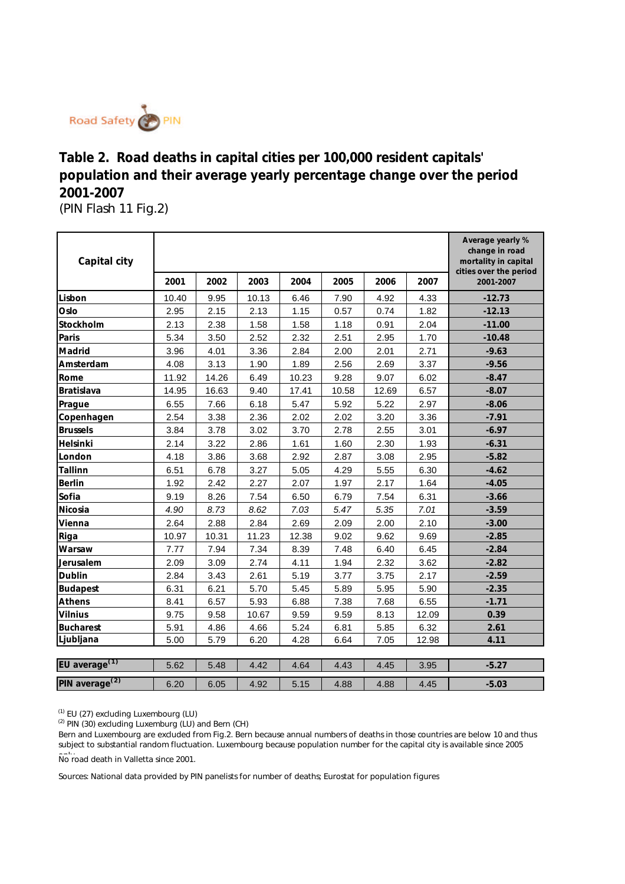

(PIN Flash 11 Fig.2) **Table 2. Road deaths in capital cities per 100,000 resident capitals' population and their average yearly percentage change over the period 2001-2007** 

| Capital city               |       |       |       |       |       |       |       | Average yearly %<br>change in road<br>mortality in capital<br>cities over the period |
|----------------------------|-------|-------|-------|-------|-------|-------|-------|--------------------------------------------------------------------------------------|
|                            | 2001  | 2002  | 2003  | 2004  | 2005  | 2006  | 2007  | 2001-2007                                                                            |
| Lisbon                     | 10.40 | 9.95  | 10.13 | 6.46  | 7.90  | 4.92  | 4.33  | $-12.73$                                                                             |
| Oslo                       | 2.95  | 2.15  | 2.13  | 1.15  | 0.57  | 0.74  | 1.82  | $-12.13$                                                                             |
| Stockholm                  | 2.13  | 2.38  | 1.58  | 1.58  | 1.18  | 0.91  | 2.04  | $-11.00$                                                                             |
| Paris                      | 5.34  | 3.50  | 2.52  | 2.32  | 2.51  | 2.95  | 1.70  | $-10.48$                                                                             |
| Madrid                     | 3.96  | 4.01  | 3.36  | 2.84  | 2.00  | 2.01  | 2.71  | $-9.63$                                                                              |
| Amsterdam                  | 4.08  | 3.13  | 1.90  | 1.89  | 2.56  | 2.69  | 3.37  | $-9.56$                                                                              |
| Rome                       | 11.92 | 14.26 | 6.49  | 10.23 | 9.28  | 9.07  | 6.02  | $-8.47$                                                                              |
| Bratislava                 | 14.95 | 16.63 | 9.40  | 17.41 | 10.58 | 12.69 | 6.57  | $-8.07$                                                                              |
| Prague                     | 6.55  | 7.66  | 6.18  | 5.47  | 5.92  | 5.22  | 2.97  | $-8.06$                                                                              |
| Copenhagen                 | 2.54  | 3.38  | 2.36  | 2.02  | 2.02  | 3.20  | 3.36  | $-7.91$                                                                              |
| <b>Brussels</b>            | 3.84  | 3.78  | 3.02  | 3.70  | 2.78  | 2.55  | 3.01  | $-6.97$                                                                              |
| Helsinki                   | 2.14  | 3.22  | 2.86  | 1.61  | 1.60  | 2.30  | 1.93  | $-6.31$                                                                              |
| London                     | 4.18  | 3.86  | 3.68  | 2.92  | 2.87  | 3.08  | 2.95  | $-5.82$                                                                              |
| Tallinn                    | 6.51  | 6.78  | 3.27  | 5.05  | 4.29  | 5.55  | 6.30  | $-4.62$                                                                              |
| <b>Berlin</b>              | 1.92  | 2.42  | 2.27  | 2.07  | 1.97  | 2.17  | 1.64  | $-4.05$                                                                              |
| Sofia                      | 9.19  | 8.26  | 7.54  | 6.50  | 6.79  | 7.54  | 6.31  | $-3.66$                                                                              |
| Nicosia                    | 4.90  | 8.73  | 8.62  | 7.03  | 5.47  | 5.35  | 7.01  | $-3.59$                                                                              |
| Vienna                     | 2.64  | 2.88  | 2.84  | 2.69  | 2.09  | 2.00  | 2.10  | $-3.00$                                                                              |
| Riga                       | 10.97 | 10.31 | 11.23 | 12.38 | 9.02  | 9.62  | 9.69  | $-2.85$                                                                              |
| Warsaw                     | 7.77  | 7.94  | 7.34  | 8.39  | 7.48  | 6.40  | 6.45  | $-2.84$                                                                              |
| Jerusalem                  | 2.09  | 3.09  | 2.74  | 4.11  | 1.94  | 2.32  | 3.62  | $-2.82$                                                                              |
| Dublin                     | 2.84  | 3.43  | 2.61  | 5.19  | 3.77  | 3.75  | 2.17  | $-2.59$                                                                              |
| Budapest                   | 6.31  | 6.21  | 5.70  | 5.45  | 5.89  | 5.95  | 5.90  | $-2.35$                                                                              |
| Athens                     | 8.41  | 6.57  | 5.93  | 6.88  | 7.38  | 7.68  | 6.55  | $-1.71$                                                                              |
| Vilnius                    | 9.75  | 9.58  | 10.67 | 9.59  | 9.59  | 8.13  | 12.09 | 0.39                                                                                 |
| Bucharest                  | 5.91  | 4.86  | 4.66  | 5.24  | 6.81  | 5.85  | 6.32  | 2.61                                                                                 |
| Ljubljana                  | 5.00  | 5.79  | 6.20  | 4.28  | 6.64  | 7.05  | 12.98 | 4.11                                                                                 |
|                            |       |       |       |       |       |       |       |                                                                                      |
| EU average <sup>(1)</sup>  | 5.62  | 5.48  | 4.42  | 4.64  | 4.43  | 4.45  | 3.95  | $-5.27$                                                                              |
| PIN average <sup>(2)</sup> | 6.20  | 6.05  | 4.92  | 5.15  | 4.88  | 4.88  | 4.45  | $-5.03$                                                                              |

<sup>(1)</sup> EU (27) excluding Luxembourg (LU)

 $(2)$  PIN (30) excluding Luxemburg (LU) and Bern (CH)

Bern and Luxembourg are excluded from Fig.2. Bern because annual numbers of deaths in those countries are below 10 and thus subject to substantial random fluctuation. Luxembourg because population number for the capital city is available since 2005 No road death in Valletta since 2001.

Sources: National data provided by PIN panelists for number of deaths; Eurostat for population figures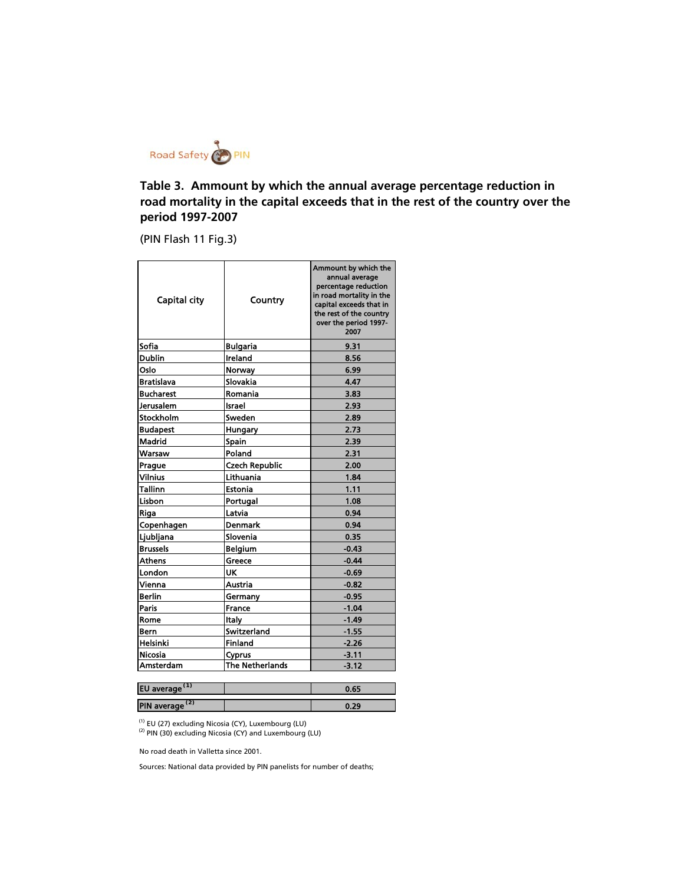

**Table 3. Ammount by which the annual average percentage reduction in road mortality in the capital exceeds that in the rest of the country over the period 1997-2007**

(PIN Flash 11 Fig.3)

| Capital city      | Country                | Ammount by which the<br>annual average<br>percentage reduction<br>in road mortality in the<br>capital exceeds that in<br>the rest of the country<br>over the period 1997-<br>2007 |
|-------------------|------------------------|-----------------------------------------------------------------------------------------------------------------------------------------------------------------------------------|
| Sofia             | <b>Bulgaria</b>        | 9.31                                                                                                                                                                              |
| <b>Dublin</b>     | Ireland                | 8.56                                                                                                                                                                              |
| Oslo              | Norway                 | 6.99                                                                                                                                                                              |
| <b>Bratislava</b> | Slovakia               | 4.47                                                                                                                                                                              |
| <b>Bucharest</b>  | Romania                | 3.83                                                                                                                                                                              |
| Jerusalem         | Israel                 | 2.93                                                                                                                                                                              |
| Stockholm         | Sweden                 | 2.89                                                                                                                                                                              |
| <b>Budapest</b>   | Hungary                | 2.73                                                                                                                                                                              |
| Madrid            | <b>Spain</b>           | 2.39                                                                                                                                                                              |
| Warsaw            | Poland                 | 2.31                                                                                                                                                                              |
| Prague            | <b>Czech Republic</b>  | 2.00                                                                                                                                                                              |
| <b>Vilnius</b>    | Lithuania              | 1.84                                                                                                                                                                              |
| Tallinn           | Estonia                | 1.11                                                                                                                                                                              |
| Lisbon            | Portugal               | 1.08                                                                                                                                                                              |
| Riga              | Latvia                 | 0.94                                                                                                                                                                              |
| Copenhagen        | <b>Denmark</b>         | 0.94                                                                                                                                                                              |
| Ljubljana         | Slovenia               | 0.35                                                                                                                                                                              |
| <b>Brussels</b>   | <b>Belgium</b>         | $-0.43$                                                                                                                                                                           |
| <b>Athens</b>     | Greece                 | $-0.44$                                                                                                                                                                           |
| London            | <b>UK</b>              | $-0.69$                                                                                                                                                                           |
| Vienna            | Austria                | $-0.82$                                                                                                                                                                           |
| <b>Berlin</b>     | Germany                | $-0.95$                                                                                                                                                                           |
| Paris             | France                 | $-1.04$                                                                                                                                                                           |
| Rome              | Italy                  | -1.49                                                                                                                                                                             |
| Bern              | Switzerland            | -1.55                                                                                                                                                                             |
| Helsinki          | <b>Finland</b>         | -2.26                                                                                                                                                                             |
| <b>Nicosia</b>    | Cyprus                 | $-3.11$                                                                                                                                                                           |
| Amsterdam         | <b>The Netherlands</b> | $-3.12$                                                                                                                                                                           |

| EU average (1)             | 0.65 |  |
|----------------------------|------|--|
| PIN average <sup>(2)</sup> | 0.29 |  |

(1) EU (27) excluding Nicosia (CY), Luxembourg (LU)

 $^{(2)}$  PIN (30) excluding Nicosia (CY) and Luxembourg (LU)

No road death in Valletta since 2001.

Sources: National data provided by PIN panelists for number of deaths;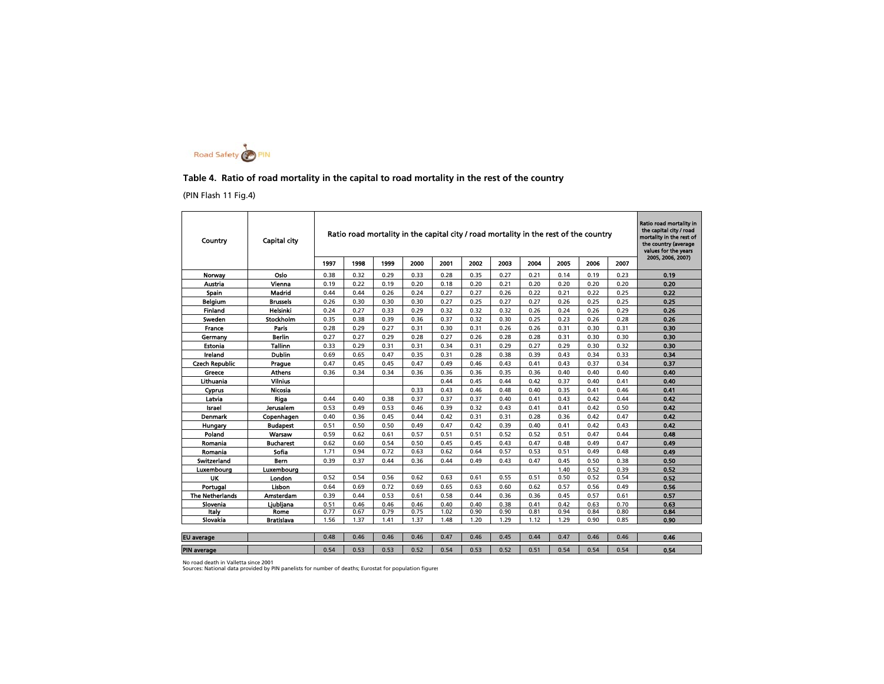

#### **Table 4. Ratio of road mortality in the capital to road mortality in the rest of the country**

(PIN Flash 11 Fig.4)

| Country                | Capital city     |      |      |      |      |      |      |      |      |      | Ratio road mortality in the capital city / road mortality in the rest of the country |      | Ratio road mortality in<br>the capital city / road<br>mortality in the rest of<br>the country (average<br>values for the vears |
|------------------------|------------------|------|------|------|------|------|------|------|------|------|--------------------------------------------------------------------------------------|------|--------------------------------------------------------------------------------------------------------------------------------|
|                        |                  | 1997 | 1998 | 1999 | 2000 | 2001 | 2002 | 2003 | 2004 | 2005 | 2006                                                                                 | 2007 | 2005, 2006, 2007)                                                                                                              |
| Norway                 | Oslo             | 0.38 | 0.32 | 0.29 | 0.33 | 0.28 | 0.35 | 0.27 | 0.21 | 0.14 | 0.19                                                                                 | 0.23 | 0.19                                                                                                                           |
| Austria                | Vienna           | 0.19 | 0.22 | 0.19 | 0.20 | 0.18 | 0.20 | 0.21 | 0.20 | 0.20 | 0.20                                                                                 | 0.20 | 0.20                                                                                                                           |
| Spain                  | Madrid           | 0.44 | 0.44 | 0.26 | 0.24 | 0.27 | 0.27 | 0.26 | 0.22 | 0.21 | 0.22                                                                                 | 0.25 | 0.22                                                                                                                           |
| Belaium                | <b>Brussels</b>  | 0.26 | 0.30 | 0.30 | 0.30 | 0.27 | 0.25 | 0.27 | 0.27 | 0.26 | 0.25                                                                                 | 0.25 | 0.25                                                                                                                           |
| Finland                | Helsinki         | 0.24 | 0.27 | 0.33 | 0.29 | 0.32 | 0.32 | 0.32 | 0.26 | 0.24 | 0.26                                                                                 | 0.29 | 0.26                                                                                                                           |
| Sweden                 | Stockholm        | 0.35 | 0.38 | 0.39 | 0.36 | 0.37 | 0.32 | 0.30 | 0.25 | 0.23 | 0.26                                                                                 | 0.28 | 0.26                                                                                                                           |
| France                 | <b>Paris</b>     | 0.28 | 0.29 | 0.27 | 0.31 | 0.30 | 0.31 | 0.26 | 0.26 | 0.31 | 0.30                                                                                 | 0.31 | 0.30                                                                                                                           |
| Germany                | <b>Berlin</b>    | 0.27 | 0.27 | 0.29 | 0.28 | 0.27 | 0.26 | 0.28 | 0.28 | 0.31 | 0.30                                                                                 | 0.30 | 0.30                                                                                                                           |
| Estonia                | <b>Tallinn</b>   | 0.33 | 0.29 | 0.31 | 0.31 | 0.34 | 0.31 | 0.29 | 0.27 | 0.29 | 0.30                                                                                 | 0.32 | 0.30                                                                                                                           |
| Ireland                | <b>Dublin</b>    | 0.69 | 0.65 | 0.47 | 0.35 | 0.31 | 0.28 | 0.38 | 0.39 | 0.43 | 0.34                                                                                 | 0.33 | 0.34                                                                                                                           |
| <b>Czech Republic</b>  | Prague           | 0.47 | 0.45 | 0.45 | 0.47 | 0.49 | 0.46 | 0.43 | 0.41 | 0.43 | 0.37                                                                                 | 0.34 | 0.37                                                                                                                           |
| Greece                 | Athens           | 0.36 | 0.34 | 0.34 | 0.36 | 0.36 | 0.36 | 0.35 | 0.36 | 0.40 | 0.40                                                                                 | 0.40 | 0.40                                                                                                                           |
| Lithuania              | <b>Vilnius</b>   |      |      |      |      | 0.44 | 0.45 | 0.44 | 0.42 | 0.37 | 0.40                                                                                 | 0.41 | 0.40                                                                                                                           |
| Cyprus                 | Nicosia          |      |      |      | 0.33 | 0.43 | 0.46 | 0.48 | 0.40 | 0.35 | 0.41                                                                                 | 0.46 | 0.41                                                                                                                           |
| Latvia                 | Riga             | 0.44 | 0.40 | 0.38 | 0.37 | 0.37 | 0.37 | 0.40 | 0.41 | 0.43 | 0.42                                                                                 | 0.44 | 0.42                                                                                                                           |
| Israel                 | <b>Jerusalem</b> | 0.53 | 0.49 | 0.53 | 0.46 | 0.39 | 0.32 | 0.43 | 0.41 | 0.41 | 0.42                                                                                 | 0.50 | 0.42                                                                                                                           |
| <b>Denmark</b>         | Copenhagen       | 0.40 | 0.36 | 0.45 | 0.44 | 0.42 | 0.31 | 0.31 | 0.28 | 0.36 | 0.42                                                                                 | 0.47 | 0.42                                                                                                                           |
| Hungary                | Budapest         | 0.51 | 0.50 | 0.50 | 0.49 | 0.47 | 0.42 | 0.39 | 0.40 | 0.41 | 0.42                                                                                 | 0.43 | 0.42                                                                                                                           |
| Poland                 | Warsaw           | 0.59 | 0.62 | 0.61 | 0.57 | 0.51 | 0.51 | 0.52 | 0.52 | 0.51 | 0.47                                                                                 | 0.44 | 0.48                                                                                                                           |
| Romania                | <b>Bucharest</b> | 0.62 | 0.60 | 0.54 | 0.50 | 0.45 | 0.45 | 0.43 | 0.47 | 0.48 | 0.49                                                                                 | 0.47 | 0.49                                                                                                                           |
| Romania                | Sofia            | 1.71 | 0.94 | 0.72 | 0.63 | 0.62 | 0.64 | 0.57 | 0.53 | 0.51 | 0.49                                                                                 | 0.48 | 0.49                                                                                                                           |
| Switzerland            | <b>Bern</b>      | 0.39 | 0.37 | 0.44 | 0.36 | 0.44 | 0.49 | 0.43 | 0.47 | 0.45 | 0.50                                                                                 | 0.38 | 0.50                                                                                                                           |
| Luxemboura             | Luxembourg       |      |      |      |      |      |      |      |      | 1.40 | 0.52                                                                                 | 0.39 | 0.52                                                                                                                           |
| UK                     | London           | 0.52 | 0.54 | 0.56 | 0.62 | 0.63 | 0.61 | 0.55 | 0.51 | 0.50 | 0.52                                                                                 | 0.54 | 0.52                                                                                                                           |
| Portugal               | Lisbon           | 0.64 | 0.69 | 0.72 | 0.69 | 0.65 | 0.63 | 0.60 | 0.62 | 0.57 | 0.56                                                                                 | 0.49 | 0.56                                                                                                                           |
| <b>The Netherlands</b> | Amsterdam        | 0.39 | 0.44 | 0.53 | 0.61 | 0.58 | 0.44 | 0.36 | 0.36 | 0.45 | 0.57                                                                                 | 0.61 | 0.57                                                                                                                           |
| Slovenia               | Liubliana        | 0.51 | 0.46 | 0.46 | 0.46 | 0.40 | 0.40 | 0.38 | 0.41 | 0.42 | 0.63                                                                                 | 0.70 | 0.63                                                                                                                           |
| Italy                  | Rome             | 0.77 | 0.67 | 0.79 | 0.75 | 1.02 | 0.90 | 0.90 | 0.81 | 0.94 | 0.84                                                                                 | 0.80 | 0.84                                                                                                                           |
| Slovakia               | Bratislava       | 1.56 | 1.37 | 1.41 | 1.37 | 1.48 | 1.20 | 1.29 | 1.12 | 1.29 | 0.90                                                                                 | 0.85 | 0.90                                                                                                                           |
| <b>EU</b> average      |                  | 0.48 | 0.46 | 0.46 | 0.46 | 0.47 | 0.46 | 0.45 | 0.44 | 0.47 | 0.46                                                                                 | 0.46 | 0.46                                                                                                                           |
|                        |                  |      |      |      |      |      |      |      |      |      |                                                                                      |      |                                                                                                                                |
| <b>PIN</b> average     |                  | 0.54 | 0.53 | 0.53 | 0.52 | 0.54 | 0.53 | 0.52 | 0.51 | 0.54 | 0.54                                                                                 | 0.54 | 0.54                                                                                                                           |

No road death in Valletta since 2001<br>Sources: National data provided by PIN panelists for number of deaths; Eurostat for population figures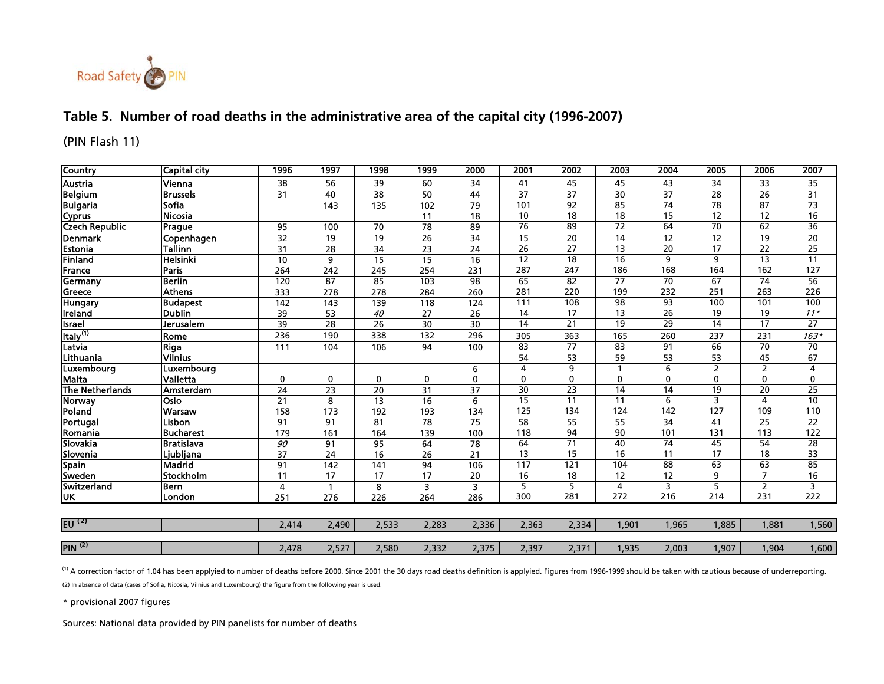

## **Table 5. Number of road deaths in the administrative area of the capital city (1996-2007)**

(PIN Flash 11)

| <b>Country</b>                 | <b>Capital city</b> | 1996  | 1997            | 1998            | 1999            | 2000                    | 2001             | 2002             | 2003             | 2004            | 2005             | 2006            | 2007             |
|--------------------------------|---------------------|-------|-----------------|-----------------|-----------------|-------------------------|------------------|------------------|------------------|-----------------|------------------|-----------------|------------------|
| Austria                        | Vienna              | 38    | 56              | 39              | 60              | 34                      | 41               | 45               | 45               | 43              | 34               | 33              | 35               |
|                                | <b>Brussels</b>     | 31    | 40              | 38              | 50              | 44                      | $\overline{37}$  | $\overline{37}$  | $\overline{30}$  | $\overline{37}$ | $\overline{28}$  | $\overline{26}$ | 31               |
|                                | Sofia               |       | 143             | 135             | 102             | 79                      | 101              | $\overline{92}$  | 85               | $\overline{74}$ | $\overline{78}$  | $\overline{87}$ | $\overline{73}$  |
| Belgium<br>Bulgaria<br>Cyprus  | Nicosia             |       |                 |                 | 11              | 18                      | $\overline{10}$  | $\overline{18}$  | $\overline{18}$  | $\overline{15}$ | $\overline{12}$  | $\overline{12}$ | 16               |
| <b>Czech Republic</b>          | Prague              | 95    | 100             | 70              | 78              | 89                      | 76               | 89               | 72               | 64              | 70               | 62              | 36               |
| <b>Denmark</b>                 | Copenhagen          | 32    | 19              | 19              | 26              | 34                      | 15               | 20               | 14               | 12              | 12               | 19              | 20               |
| Estonia                        | Tallinn             | 31    | 28              | $\overline{34}$ | 23              | 24                      | $\overline{26}$  | $\overline{27}$  | $\overline{13}$  | $\overline{20}$ | $\overline{17}$  | $\overline{22}$ | $\overline{25}$  |
| Finland                        | Helsinki            | 10    | 9               | 15              | 15              | 16                      | $\overline{12}$  | 18               | 16               | 9               | 9                | $\overline{13}$ | $\overline{11}$  |
| France                         | <b>Paris</b>        | 264   | 242             | 245             | 254             | 231                     | 287              | $\overline{247}$ | 186              | 168             | 164              | 162             | 127              |
| Germany                        | <b>Berlin</b>       | 120   | 87              | 85              | 103             | 98                      | 65               | 82               | $\overline{77}$  | $\overline{70}$ | 67               | $\overline{74}$ | $\overline{56}$  |
| Greece                         | <b>Athens</b>       | 333   | 278             | 278             | 284             | 260                     | 281              | $\overline{220}$ | 199              | 232             | 251              | 263             | $\overline{226}$ |
| <b>Hungary</b>                 | <b>Budapest</b>     | 142   | 143             | 139             | 118             | 124                     | 111              | 108              | 98               | 93              | 100              | 101             | 100              |
| <b>Ireland</b>                 | <b>Dublin</b>       | 39    | $\overline{53}$ | 40              | 27              | $\overline{26}$         | $\overline{14}$  | $\overline{17}$  | $\overline{13}$  | $\overline{26}$ | $\overline{19}$  | $\overline{19}$ | $\overline{11*}$ |
| <b>Israel</b>                  | Jerusalem           | 39    | 28              | 26              | 30              | 30                      | 14               | 21               | $\overline{19}$  | $\overline{29}$ | 14               | $\overline{17}$ | $\overline{27}$  |
| Italy <sup>(1)</sup><br>Latvia | Rome                | 236   | 190             | 338             | 132             | 296                     | 305              | 363              | 165              | 260             | 237              | 231             | $163*$           |
|                                | <b>Riga</b>         | 111   | 104             | 106             | 94              | 100                     | $\overline{83}$  | $\overline{77}$  | $\overline{83}$  | $\overline{91}$ | 66               | $\overline{70}$ | $\overline{70}$  |
| Lithuania                      | <b>Vilnius</b>      |       |                 |                 |                 |                         | 54               | 53               | 59               | $\overline{53}$ | 53               | 45              | 67               |
| Luxembourg                     | Luxembourg          |       |                 |                 |                 | 6                       | 4                | 9                |                  | 6               | $\overline{2}$   | $\overline{2}$  | $\overline{4}$   |
| <b>Malta</b>                   | Valletta            | 0     | 0               | $\mathbf 0$     | 0               | $\mathbf 0$             | 0                | 0                | $\mathbf 0$      | 0               | $\mathbf 0$      | $\mathbf 0$     | 0                |
| <b>The Netherlands</b>         | Amsterdam           | 24    | 23              | $\overline{20}$ | 31              | 37                      | 30               | $\overline{23}$  | $\overline{14}$  | $\overline{14}$ | 19               | $\overline{20}$ | 25               |
| Norway                         | Oslo                | 21    | 8               | 13              | 16              | 6                       | $\overline{15}$  | $\overline{11}$  | $\overline{11}$  | 6               | 3                | 4               | 10               |
| Poland                         | Warsaw              | 158   | 173             | 192             | 193             | 134                     | 125              | 134              | 124              | 142             | $\overline{127}$ | 109             | 110              |
| Portugal                       | Lisbon              | 91    | $\overline{91}$ | $\overline{81}$ | $\overline{78}$ | 75                      | 58               | $\overline{55}$  | $\overline{55}$  | $\overline{34}$ | $\overline{41}$  | 25              | 22               |
| Romania                        | <b>Bucharest</b>    | 179   | 161             | 164             | 139             | 100                     | $\overline{118}$ | $\overline{94}$  | $\overline{90}$  | 101             | 131              | 113             | $\overline{122}$ |
| Slovakia                       | <b>Bratislava</b>   | 90    | 91              | 95              | 64              | 78                      | 64               | 71               | 40               | $\overline{74}$ | 45               | 54              | 28               |
| Slovenia                       | Ljubljana           | 37    | 24              | 16              | 26              | 21                      | $\overline{13}$  | $\overline{15}$  | $\overline{16}$  | 11              | $\overline{17}$  | $\overline{18}$ | $\overline{33}$  |
| <b>Spain</b>                   | <b>Madrid</b>       | 91    | 142             | 141             | 94              | 106                     | 117              | 121              | 104              | 88              | 63               | 63              | 85               |
| Sweden                         | Stockholm           | 11    | 17              | 17              | 17              | 20                      | $\overline{16}$  | $\overline{18}$  | $\overline{12}$  | $\overline{12}$ | 9                | 7               | 16               |
| Switzerland                    | <b>Bern</b>         | 4     |                 | 8               | 3               | $\overline{\mathbf{3}}$ | 5                | 5                | 4                | 3               | 5                | $\overline{2}$  | 3                |
| <u>UK</u>                      | London              | 251   | 276             | 226             | 264             | 286                     | 300              | 281              | $\overline{272}$ | 216             | 214              | 231             | 222              |
|                                |                     |       |                 |                 |                 |                         |                  |                  |                  |                 |                  |                 |                  |
| EU $^{(2)}$                    |                     | 2,414 | 2,490           | 2,533           | 2,283           | 2,336                   | 2,363            | 2,334            | 1,901            | 1,965           | 1,885            | 1,881           | 1,560            |
|                                |                     |       |                 |                 |                 |                         |                  |                  |                  |                 |                  |                 |                  |
| <b>PIN</b> <sup>(2)</sup>      |                     | 2,478 | 2,527           | 2,580           | 2,332           | 2,375                   | 2,397            | 2,371            | 1,935            | 2,003           | 1,907            | 1,904           | 1,600            |

 $^{(1)}$  A correction factor of 1.04 has been applyied to number of deaths before 2000. Since 2001 the 30 days road deaths definition is applyied. Figures from 1996-1999 should be taken with cautious because of underreporti (2) In absence of data (cases of Sofia, Nicosia, Vilnius and Luxembourg) the figure from the following year is used.

\* provisional 2007 figures

Sources: National data provided by PIN panelists for number of deaths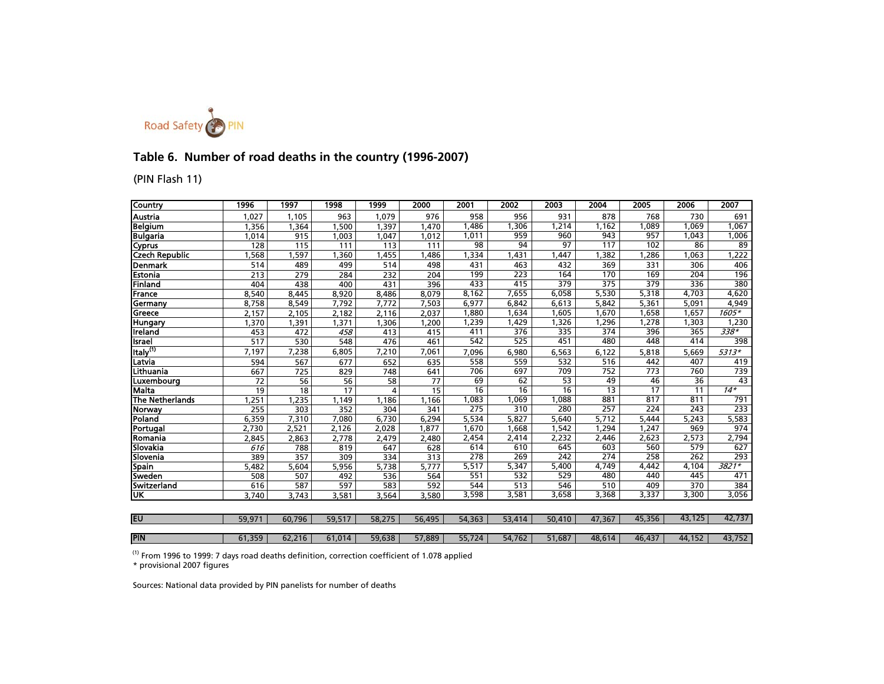

## **Table 6. Number of road deaths in the country (1996-2007)**

### (PIN Flash 11)

| Country                | 1996   | 1997   | 1998   | 1999           | 2000   | 2001             | 2002   | 2003   | 2004            | 2005            | 2006   | 2007            |
|------------------------|--------|--------|--------|----------------|--------|------------------|--------|--------|-----------------|-----------------|--------|-----------------|
| Austria                | 1,027  | 1.105  | 963    | 1.079          | 976    | 958              | 956    | 931    | 878             | 768             | 730    | 691             |
| <b>Belgium</b>         | 1,356  | 1,364  | 1,500  | 1,397          | 1,470  | 1,486            | .306   | 1,214  | 1.162           | 1.089           | 1.069  | 1,067           |
| <b>Bulgaria</b>        | 1,014  | 915    | 1,003  | 1,047          | 1,012  | 1,011            | 959    | 960    | 943             | 957             | 1,043  | 1,006           |
| Cyprus                 | 128    | 115    | 111    | 113            | 111    | 98               | 94     | 97     | 117             | 102             | 86     | $\overline{89}$ |
| <b>Czech Republic</b>  | ,568   | ,597   | ,360   | 1,455          | ,486   | 1,334            | ,431   | ,447   | , 382           | 1,286           | 1,063  | 1,222           |
| Denmark                | 514    | 489    | 499    | 514            | 498    | 431              | 463    | 432    | 369             | 331             | 306    | 406             |
| Estonia                | 213    | 279    | 284    | 232            | 204    | 199              | 223    | 164    | 170             | 169             | 204    | 196             |
| Finland                | 404    | 438    | 400    | 431            | 396    | 433              | 415    | 379    | 375             | 379             | 336    | 380             |
| France                 | 8,540  | 8,445  | 8,920  | 8,486          | 8,079  | 8,162            | 7.655  | 6,058  | 5,530           | 5,318           | 4.703  | 4,620           |
| Germany                | 8,758  | 8,549  | 7,792  | 7,772          | 7,503  | 6,977            | 6,842  | 6,613  | 5,842           | 5,361           | 5,091  | 4,949           |
| Greece                 | 2,157  | 2,105  | 2,182  | 2,116          | 2,037  | 1,880            | 1.634  | 1.605  | 1,670           | 1,658           | 1,657  | $1605*$         |
| <b>Hungary</b>         | 1,370  | 1,391  | 1,371  | 1,306          | 1,200  | 1,239            | 1,429  | 1,326  | 1,296           | 1,278           | 1,303  | 1,230           |
| Ireland                | 453    | 472    | 458    | 413            | 415    | 411              | 376    | 335    | 374             | 396             | 365    | $338*$          |
| Israel                 | 517    | 530    | 548    | 476            | 461    | 542              | 525    | 451    | 480             | 448             | 414    | 398             |
| Italy <sup>(1)</sup>   | 7,197  | 7,238  | 6,805  | 7,210          | 7,061  | 7,096            | 6,980  | 6,563  | 6,122           | 5,818           | 5,669  | 5313*           |
| Latvia                 | 594    | 567    | 677    | 652            | 635    | 558              | 559    | 532    | 516             | 442             | 407    | 419             |
| Lithuania              | 667    | 725    | 829    | 748            | 641    | 706              | 697    | 709    | 752             | 773             | 760    | 739             |
| Luxembourg             | 72     | 56     | 56     | 58             | 77     | 69               | 62     | 53     | 49              | 46              | 36     | 43              |
| Malta                  | 19     | 18     | 17     | $\overline{a}$ | 15     | 16               | 16     | 16     | $\overline{13}$ | $\overline{17}$ | 11     | $14*$           |
| <b>The Netherlands</b> | .251   | .235   | 1,149  | 1.186          | 1.166  | 1,083            | 1,069  | 1,088  | 881             | 817             | 811    | 791             |
| Norway                 | 255    | 303    | 352    | 304            | 341    | 275              | 310    | 280    | 257             | 224             | 243    | 233             |
| Poland                 | 6,359  | 7,310  | 7,080  | 6,730          | 6,294  | 5,534            | 5.827  | 5,640  | 5.712           | 5,444           | 5,243  | 5,583           |
| Portugal               | 2,730  | 2,521  | 2,126  | 2,028          | 1,877  | 1,670            | 1,668  | 1,542  | 1,294           | 1,247           | 969    | 974             |
| Romania                | 2,845  | 2,863  | 2,778  | 2,479          | 2,480  | 2,454            | 2,414  | 2,232  | 2,446           | 2,623           | 2,573  | 2,794           |
| Slovakia               | 616    | 788    | 819    | 647            | 628    | 614              | 610    | 645    | 603             | 560             | 579    | 627             |
| Slovenia               | 389    | 357    | 309    | 334            | 313    | $\overline{278}$ | 269    | 242    | 274             | 258             | 262    | 293             |
| <b>Spain</b>           | 5,482  | 5,604  | 5,956  | 5,738          | 5.777  | 5,517            | 5,347  | 5,400  | 4,749           | 4,442           | 4,104  | 3821*           |
| Sweden                 | 508    | 507    | 492    | 536            | 564    | 551              | 532    | 529    | 480             | 440             | 445    | 471             |
| Switzerland            | 616    | 587    | 597    | 583            | 592    | 544              | 513    | 546    | 510             | 409             | 370    | 384             |
| UK                     | 3.740  | 3,743  | 3,581  | 3,564          | 3,580  | 3,598            | 3,581  | 3,658  | 3,368           | 3,337           | 3,300  | 3,056           |
|                        |        |        |        |                |        |                  |        |        |                 |                 |        |                 |
| EU                     | 59,971 | 60,796 | 59,517 | 58,275         | 56,495 | 54,363           | 53,414 | 50,410 | 47,367          | 45,356          | 43,125 | 42,737          |
| <b>PIN</b>             | 61,359 | 62,216 | 61,014 | 59,638         | 57,889 | 55,724           | 54,762 | 51,687 | 48,614          | 46,437          | 44,152 | 43,752          |

 $<sup>(1)</sup>$  From 1996 to 1999: 7 days road deaths definition, correction coefficient of 1.078 applied</sup>

\* provisional 2007 figures

Sources: National data provided by PIN panelists for number of deaths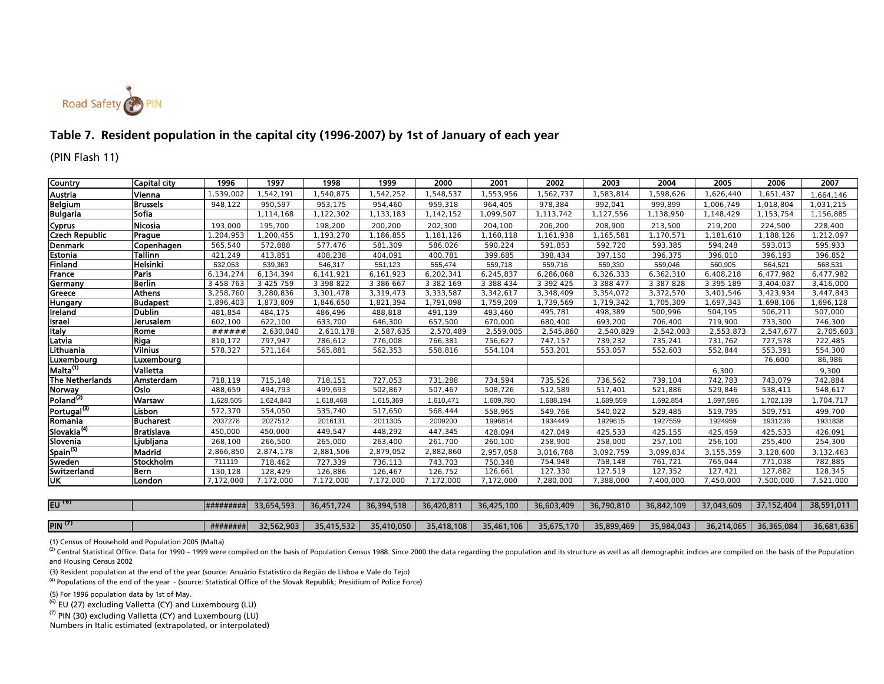

### **Table 7. Resident population in the capital city (1996-2007) by 1st of January of each year**

(PIN Flash 11)

| Country                 | <b>Capital city</b> | 1996      | 1997          | 1998          | 1999      | 2000      | 2001      | 2002      | 2003      | 2004      | 2005      | 2006      | 2007      |
|-------------------------|---------------------|-----------|---------------|---------------|-----------|-----------|-----------|-----------|-----------|-----------|-----------|-----------|-----------|
| <b>Austria</b>          | Vienna              | 1,539,002 | 1,542,191     | 1,540,875     | 1,542,252 | 1,548,537 | 1,553,956 | 1,562,737 | ,583,814  | 1,598,626 | 1,626,440 | 1,651,437 | .664,146  |
| <b>Belgium</b>          | <b>Brussels</b>     | 948,122   | 950,597       | 953,175       | 954,460   | 959,318   | 964,405   | 978,384   | 992,041   | 999,899   | 1,006,749 | 1,018,804 | 1,031,215 |
| <b>Bulgaria</b>         | <b>Sofia</b>        |           | 1,114,168     | 1,122,302     | 1,133,183 | 1,142,152 | 1,099,507 | 1,113,742 | ,127,556  | 1,138,950 | 1,148,429 | 1,153,754 | 1,156,885 |
| Cyprus                  | <b>Nicosia</b>      | 193,000   | 195.700       | 198,200       | 200,200   | 202,300   | 204,100   | 206,200   | 208,900   | 213,500   | 219,200   | 224,500   | 228,400   |
| <b>Czech Republic</b>   | Prague              | 1,204,953 | ,200,455      | 1,193,270     | 1,186,855 | 1,181,126 | 1,160,118 | 1,161,938 | ,165,581  | 1,170,571 | 1,181,610 | 1,188,126 | 1,212,097 |
| <b>Denmark</b>          | Copenhagen          | 565,540   | 572,888       | 577.476       | 581,309   | 586,026   | 590,224   | 591,853   | 592,720   | 593,385   | 594,248   | 593,013   | 595,933   |
| Estonia                 | Tallinn             | 421,249   | 413,851       | 408,238       | 404,091   | 400,781   | 399,685   | 398,434   | 397,150   | 396,375   | 396,010   | 396,193   | 396,852   |
| Finland                 | Helsinki            | 532,053   | 539,363       | 546,317       | 551,123   | 555,474   | 559,718   | 559,716   | 559,330   | 559,046   | 560,905   | 564,521   | 568,531   |
| <b>France</b>           | Paris               | 6,134,274 | 6,134,394     | 6,141,921     | 6,161,923 | 6,202,341 | 6,245,837 | 6,286,068 | 6,326,333 | 6,362,310 | 6,408,218 | 6,477,982 | 6,477,982 |
| Germany                 | <b>Berlin</b>       | 3 458 763 | 3 4 2 5 7 5 9 | 3 3 9 8 8 2 2 | 3 386 667 | 3 382 169 | 3 388 434 | 3 392 425 | 3 388 477 | 3 387 828 | 3 395 189 | 3,404,037 | 3,416,000 |
| Greece                  | <b>Athens</b>       | 3,258,760 | 3,280,836     | 3,301,478     | 3,319,473 | 3,333,587 | 3,342,617 | 3,348,409 | 3,354,072 | 3,372,570 | 3,401,546 | 3,423,934 | 3,447,843 |
| Hungary                 | <b>Budapest</b>     | 1,896,403 | 1,873,809     | 1,846,650     | 1,821,394 | 1,791,098 | 1,759,209 | 1,739,569 | 1,719,342 | 1,705,309 | 1,697,343 | 1,698,106 | 1,696,128 |
| Ireland                 | <b>Dublin</b>       | 481,854   | 484,175       | 486,496       | 488,818   | 491,139   | 493,460   | 495,781   | 498,389   | 500,996   | 504,195   | 506,211   | 507,000   |
| <b>Israel</b>           | Jerusalem           | 602,100   | 622,100       | 633,700       | 646,300   | 657,500   | 670,000   | 680.400   | 693,200   | 706.400   | 719.900   | 733.300   | 746.300   |
| <b>Italy</b>            | Rome                | ######    | 2,630,040     | 2,610,178     | 2,587,635 | 2,570,489 | 2,559,005 | 2,545,860 | 2,540,829 | 2,542,003 | 2,553,873 | 2,547,677 | 2,705,603 |
| Latvia                  | Riga                | 810.172   | 797.947       | 786,612       | 776,008   | 766,381   | 756,627   | 747,157   | 739,232   | 735,241   | 731,762   | 727,578   | 722,485   |
| Lithuania               | <b>Vilnius</b>      | 578,327   | 571,164       | 565,881       | 562,353   | 558,816   | 554,104   | 553,201   | 553,057   | 552,603   | 552,844   | 553,391   | 554,300   |
| Luxembourg              | Luxembourg          |           |               |               |           |           |           |           |           |           |           | 76,600    | 86,986    |
| Malta <sup>(1)</sup>    | Valletta            |           |               |               |           |           |           |           |           |           | 6,300     |           | 9,300     |
| <b>The Netherlands</b>  | Amsterdam           | 718,119   | 715,148       | 718,151       | 727,053   | 731,288   | 734,594   | 735,526   | 736,562   | 739,104   | 742,783   | 743,079   | 742,884   |
| <b>Norway</b>           | <b>Oslo</b>         | 488,659   | 494,793       | 499,693       | 502,867   | 507,467   | 508,726   | 512,589   | 517,401   | 521,886   | 529,846   | 538,411   | 548,617   |
| Poland <sup>(2)</sup>   | Warsaw              | 1,628,505 | 1.624.843     | 1,618,468     | 1.615.369 | 1,610,471 | .609.780  | 1,688,194 | 1,689,559 | 1.692.854 | 1,697,596 | 1.702.139 | 1,704,717 |
| Portugal <sup>(3)</sup> | Lisbon              | 572,370   | 554,050       | 535,740       | 517,650   | 568,444   | 558,965   | 549,766   | 540,022   | 529,485   | 519,795   | 509,751   | 499,700   |
| Romania                 | <b>Bucharest</b>    | 2037278   | 2027512       | 2016131       | 2011305   | 2009200   | 1996814   | 1934449   | 1929615   | 1927559   | 1924959   | 1931236   | 1931838   |
| Slovakia <sup>(4)</sup> | <b>Bratislava</b>   | 450.000   | 450,000       | 449.547       | 448.292   | 447.345   | 428,094   | 427,049   | 425,533   | 425,155   | 425,459   | 425,533   | 426,091   |
| Slovenia                | Ljubljana           | 268,100   | 266,500       | 265,000       | 263,400   | 261,700   | 260,100   | 258,900   | 258,000   | 257,100   | 256,100   | 255,400   | 254,300   |
| Spain <sup>(5)</sup>    | Madrid              | 2,866,850 | 2,874,178     | 2,881,506     | 2,879,052 | 2,882,860 | 2.957.058 | 3.016.788 | 3.092.759 | 3.099.834 | 3,155,359 | 3.128.600 | 3,132,463 |
| Sweden                  | <b>Stockholm</b>    | 711119    | 718,462       | 727,339       | 736,113   | 743,703   | 750,348   | 754,948   | 758,148   | 761,721   | 765,044   | 771,038   | 782,885   |
| Switzerland             | Bern                | 130,128   | 128,429       | 126,886       | 126,467   | 126,752   | 126,661   | 127,330   | 127,519   | 127,352   | 127,421   | 127,882   | 128,345   |
| UK                      | London              | 7,172,000 | 7,172,000     | 7.172.000     | 7.172.000 | 7.172.000 | 7.172.000 | 7,280,000 | 7,388,000 | 7.400.000 | 7,450,000 | 7,500,000 | 7,521,000 |

| EU $(6)$           |          | $ $ ##########  33,654,593 | $\vert$ 36,451,724   36,394,518 |            | 36.420.811 | 36,425,100 | 36,603,409 | 36,790,810 | 36,842,109 | 37,043,609   37,152,404   38,591,011 |                       |            |
|--------------------|----------|----------------------------|---------------------------------|------------|------------|------------|------------|------------|------------|--------------------------------------|-----------------------|------------|
|                    |          |                            |                                 |            |            |            |            |            |            |                                      |                       |            |
| PIN <sup>(7)</sup> | ######## | 32,562,903                 | 35,415,532                      | 35,410,050 | 35,418,108 | 35,461,106 | 35,675,170 | 35,899,469 | 35,984,043 |                                      | 36,214,065 36,365,084 | 36,681,636 |

(1) Census of Household and Population 2005 (Malta)

<sup>(2)</sup> Central Statistical Office. Data for 1990 – 1999 were compiled on the basis of Population Census 1988. Since 2000 the data regarding the population and its structure as well as all demographic indices are compiled on and Housing Census 2002

(3) Resident population at the end of the year (source: Anuário Estatistico da Região de Lisboa e Vale do Tejo)

(4) Populations of the end of the year - (source: Statistical Office of the Slovak Republik; Presidium of Police Force)

(5) For 1996 population data by 1st of May.

(6) EU (27) excluding Valletta (CY) and Luxembourg (LU)

 $^{(7)}$  PIN (30) excluding Valletta (CY) and Luxembourg (LU)

Numbers in Italic estimated (extrapolated, or interpolated)